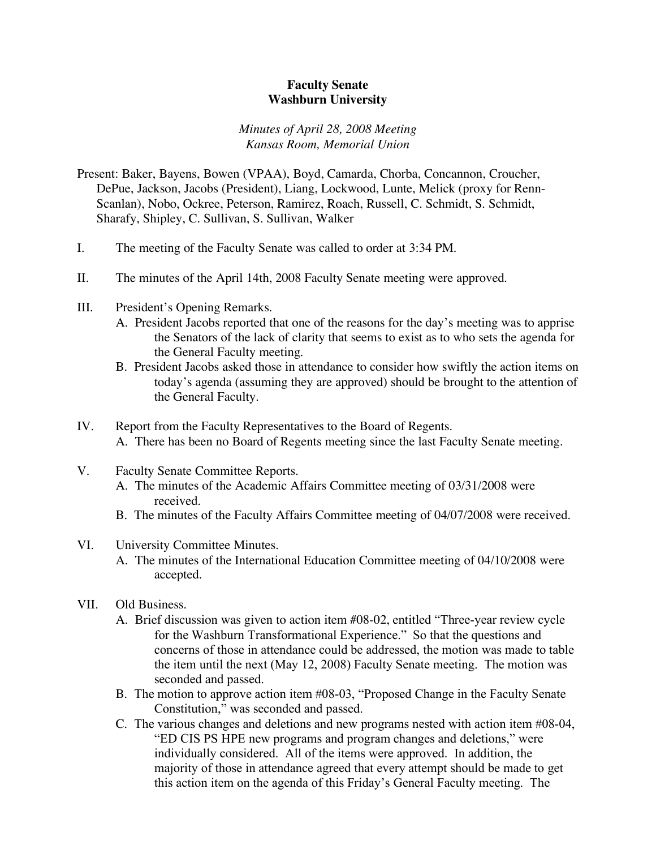## **Faculty Senate Washburn University**

## *Minutes of April 28, 2008 Meeting Kansas Room, Memorial Union*

- Present: Baker, Bayens, Bowen (VPAA), Boyd, Camarda, Chorba, Concannon, Croucher, DePue, Jackson, Jacobs (President), Liang, Lockwood, Lunte, Melick (proxy for Renn-Scanlan), Nobo, Ockree, Peterson, Ramirez, Roach, Russell, C. Schmidt, S. Schmidt, Sharafy, Shipley, C. Sullivan, S. Sullivan, Walker
- I. The meeting of the Faculty Senate was called to order at 3:34 PM.
- II. The minutes of the April 14th, 2008 Faculty Senate meeting were approved.
- III. President's Opening Remarks.
	- A. President Jacobs reported that one of the reasons for the day's meeting was to apprise the Senators of the lack of clarity that seems to exist as to who sets the agenda for the General Faculty meeting.
	- B. President Jacobs asked those in attendance to consider how swiftly the action items on today's agenda (assuming they are approved) should be brought to the attention of the General Faculty.
- IV. Report from the Faculty Representatives to the Board of Regents. A. There has been no Board of Regents meeting since the last Faculty Senate meeting.
- V. Faculty Senate Committee Reports.
	- A. The minutes of the Academic Affairs Committee meeting of 03/31/2008 were received.
	- B. The minutes of the Faculty Affairs Committee meeting of 04/07/2008 were received.

## VI. University Committee Minutes.

- A. The minutes of the International Education Committee meeting of 04/10/2008 were accepted.
- VII. Old Business.
	- A. Brief discussion was given to action item #08-02, entitled "Three-year review cycle for the Washburn Transformational Experience." So that the questions and concerns of those in attendance could be addressed, the motion was made to table the item until the next (May 12, 2008) Faculty Senate meeting. The motion was seconded and passed.
	- B. The motion to approve action item #08-03, "Proposed Change in the Faculty Senate Constitution," was seconded and passed.
	- C. The various changes and deletions and new programs nested with action item #08-04, "ED CIS PS HPE new programs and program changes and deletions," were individually considered. All of the items were approved. In addition, the majority of those in attendance agreed that every attempt should be made to get this action item on the agenda of this Friday's General Faculty meeting. The